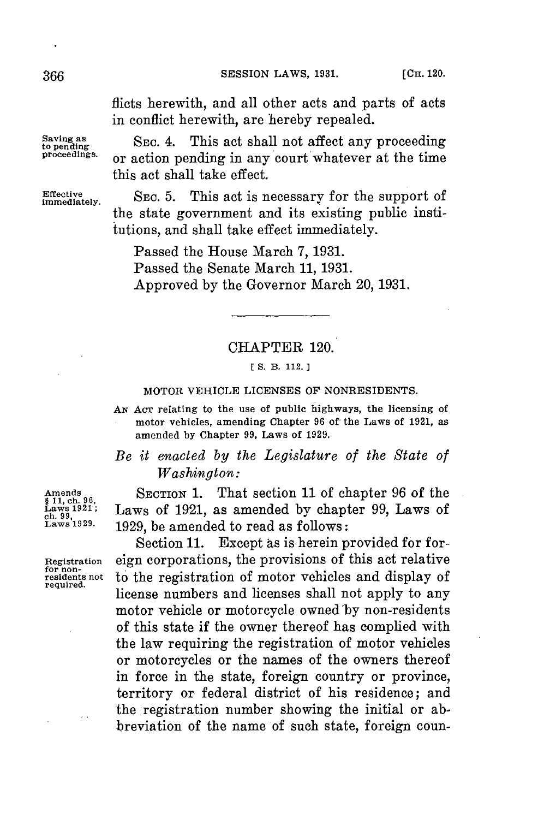flicts herewith, and all other acts and parts of acts in conflict herewith, are hereby repealed.

Saving as SEC. 4. This act shall not affect any proceeding **to pending the second of the fetall** proceeding <br> **proceeding** or action pending in any court whatever at the time this act shall take effect.

Effective SEC. 5. This act is necessary for the support of the state government and its existing public institutions, and shall take effect immediately.

> Passed the House March **7, 1931.** Passed the Senate March **11, 1931.** Approved **by** the Governor March 20, **1931.**

## CHAPTER 120.

## **t S. B. 112.**

## **MOTOR VEHICLE LICENSES OF NONRESIDENTS.**

**AN AcT relating to the use of public highways, the licensing of motor vehicles, amending Chapter 96 of the Laws of 1921, as amended by Chapter 99, Laws of 1929.**

## *Be it enacted by the Legislature of the State of Washington:*

Amends SECTION 1. That section 11 of chapter 96 of the **§ 11, ch. 96**,<br>**Laws** 1921; Laws of 1921, as amended by chapter 99. Laws of Laws 1921; Laws of 1921, as amended by chapter 99, Laws of  $\frac{\text{Lip. 921}}{\text{Lip. 93}}$ ,  $\frac{1000 \text{ m}}{\text{Lip. 93}}$ ,  $\frac{1000 \text{ m}}{\text{p}}$  he amended to read as follows **Laws 1929. 1929,** be amended to read as follows:

Section 11. Except as is herein provided for for-Registration eign corporations, the provisions of this act relative for non-<br>residents not to the registration of motor vehicles and display of **for non- residents not** to the registration of motor vehicles and display of license numbers and licenses shall not apply to any motor vehicle or motorcycle owned'by non-residents of this state if the owner thereof has complied with the law requiring the registration of motor vehicles or motorcycles or the names of the owners thereof in force in the state, foreign country or province, territory or federal district of his residence; and the registration number showing the initial or abbreviation of the name of such state, foreign coun-